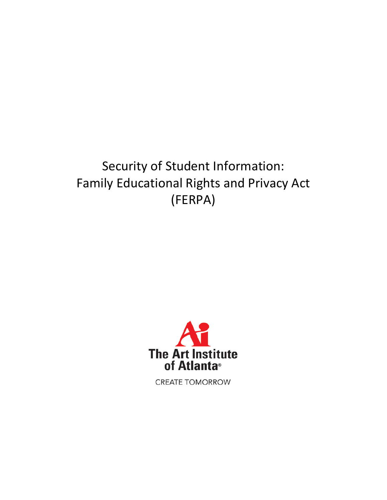# Security of Student Information: Family Educational Rights and Privacy Act (FERPA)



**CREATE TOMORROW**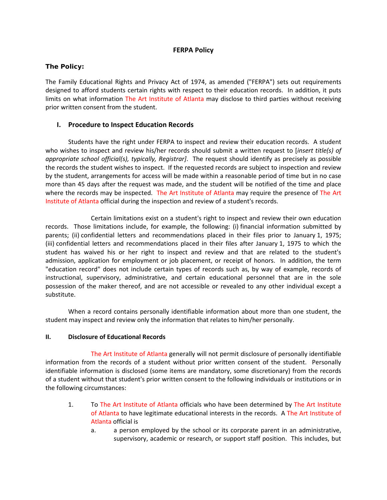### **FERPA Policy**

#### **The Policy:**

The Family Educational Rights and Privacy Act of 1974, as amended ("FERPA") sets out requirements designed to afford students certain rights with respect to their education records. In addition, it puts limits on what information The Art Institute of Atlanta may disclose to third parties without receiving prior written consent from the student.

### **I. Procedure to Inspect Education Records**

Students have the right under FERPA to inspect and review their education records. A student who wishes to inspect and review his/her records should submit a written request to [*insert title(s) of appropriate school official(s), typically, Registrar]*. The request should identify as precisely as possible the records the student wishes to inspect. If the requested records are subject to inspection and review by the student, arrangements for access will be made within a reasonable period of time but in no case more than 45 days after the request was made, and the student will be notified of the time and place where the records may be inspected. The Art Institute of Atlanta may require the presence of The Art Institute of Atlanta official during the inspection and review of a student's records.

Certain limitations exist on a student's right to inspect and review their own education records. Those limitations include, for example, the following: (i) financial information submitted by parents; (ii) confidential letters and recommendations placed in their files prior to January 1, 1975; (iii) confidential letters and recommendations placed in their files after January 1, 1975 to which the student has waived his or her right to inspect and review and that are related to the student's admission, application for employment or job placement, or receipt of honors. In addition, the term "education record" does not include certain types of records such as, by way of example, records of instructional, supervisory, administrative, and certain educational personnel that are in the sole possession of the maker thereof, and are not accessible or revealed to any other individual except a substitute.

When a record contains personally identifiable information about more than one student, the student may inspect and review only the information that relates to him/her personally.

#### **II. Disclosure of Educational Records**

The Art Institute of Atlanta generally will not permit disclosure of personally identifiable information from the records of a student without prior written consent of the student. Personally identifiable information is disclosed (some items are mandatory, some discretionary) from the records of a student without that student's prior written consent to the following individuals or institutions or in the following circumstances:

- 1. To The Art Institute of Atlanta officials who have been determined by The Art Institute of Atlanta to have legitimate educational interests in the records. A The Art Institute of Atlanta official is
	- a. a person employed by the school or its corporate parent in an administrative, supervisory, academic or research, or support staff position. This includes, but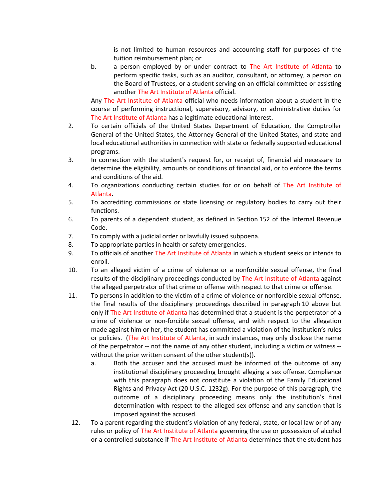is not limited to human resources and accounting staff for purposes of the tuition reimbursement plan; or

b. a person employed by or under contract to The Art Institute of Atlanta to perform specific tasks, such as an auditor, consultant, or attorney, a person on the Board of Trustees, or a student serving on an official committee or assisting another The Art Institute of Atlanta official.

Any The Art Institute of Atlanta official who needs information about a student in the course of performing instructional, supervisory, advisory, or administrative duties for The Art Institute of Atlanta has a legitimate educational interest.

- 2. To certain officials of the United States Department of Education, the Comptroller General of the United States, the Attorney General of the United States, and state and local educational authorities in connection with state or federally supported educational programs.
- 3. In connection with the student's request for, or receipt of, financial aid necessary to determine the eligibility, amounts or conditions of financial aid, or to enforce the terms and conditions of the aid.
- 4. To organizations conducting certain studies for or on behalf of The Art Institute of Atlanta.
- 5. To accrediting commissions or state licensing or regulatory bodies to carry out their functions.
- 6. To parents of a dependent student, as defined in Section 152 of the Internal Revenue Code.
- 7. To comply with a judicial order or lawfully issued subpoena.
- 8. To appropriate parties in health or safety emergencies.
- 9. To officials of another The Art Institute of Atlanta in which a student seeks or intends to enroll.
- 10. To an alleged victim of a crime of violence or a nonforcible sexual offense, the final results of the disciplinary proceedings conducted by The Art Institute of Atlanta against the alleged perpetrator of that crime or offense with respect to that crime or offense.
- 11. To persons in addition to the victim of a crime of violence or nonforcible sexual offense, the final results of the disciplinary proceedings described in paragraph 10 above but only if The Art Institute of Atlanta has determined that a student is the perpetrator of a crime of violence or non-forcible sexual offense, and with respect to the allegation made against him or her, the student has committed a violation of the institution's rules or policies. (The Art Institute of Atlanta, in such instances, may only disclose the name of the perpetrator -- not the name of any other student, including a victim or witness - without the prior written consent of the other student(s)).
	- a. Both the accuser and the accused must be informed of the outcome of any institutional disciplinary proceeding brought alleging a sex offense. Compliance with this paragraph does not constitute a violation of the Family Educational Rights and Privacy Act (20 U.S.C. 1232g). For the purpose of this paragraph, the outcome of a disciplinary proceeding means only the institution's final determination with respect to the alleged sex offense and any sanction that is imposed against the accused.
- 12. To a parent regarding the student's violation of any federal, state, or local law or of any rules or policy of The Art Institute of Atlanta governing the use or possession of alcohol or a controlled substance if The Art Institute of Atlanta determines that the student has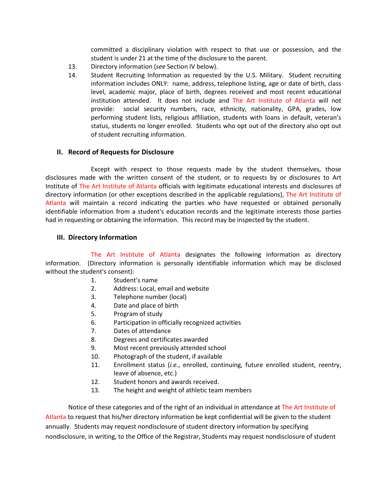committed a disciplinary violation with respect to that use or possession, and the student is under 21 at the time of the disclosure to the parent.

- 13. Directory information (*see* Section IV below).
- 14. Student Recruiting Information as requested by the U.S. Military. Student recruiting information includes ONLY: name, address, telephone listing, age or date of birth, class level, academic major, place of birth, degrees received and most recent educational institution attended. It does not include and The Art Institute of Atlanta will not provide: social security numbers, race, ethnicity, nationality, GPA, grades, low performing student lists, religious affiliation, students with loans in default, veteran's status, students no longer enrolled. Students who opt out of the directory also opt out of student recruiting information.

#### **II. Record of Requests for Disclosure**

Except with respect to those requests made by the student themselves, those disclosures made with the written consent of the student, or to requests by or disclosures to Art Institute of The Art Institute of Atlanta officials with legitimate educational interests and disclosures of directory information (or other exceptions described in the applicable regulations), The Art Institute of Atlanta will maintain a record indicating the parties who have requested or obtained personally identifiable information from a student's education records and the legitimate interests those parties had in requesting or obtaining the information. This record may be inspected by the student.

#### **III. Directory Information**

The Art Institute of Atlanta designates the following information as directory information. (Directory information is personally identifiable information which may be disclosed without the student's consent):

- 1. Student's name
- 2. Address: Local, email and website
- 3. Telephone number (local)
- 4. Date and place of birth
- 5. Program of study
- 6. Participation in officially recognized activities
- 7. Dates of attendance
- 8. Degrees and certificates awarded
- 9. Most recent previously attended school
- 10. Photograph of the student, if available
- 11. Enrollment status (*i.e.*, enrolled, continuing, future enrolled student, reentry, leave of absence, etc.)
- 12. Student honors and awards received.
- 13. The height and weight of athletic team members

Notice of these categories and of the right of an individual in attendance at The Art Institute of Atlanta to request that his/her directory information be kept confidential will be given to the student annually. Students may request nondisclosure of student directory information by specifying nondisclosure, in writing, to the Office of the Registrar, Students may request nondisclosure of student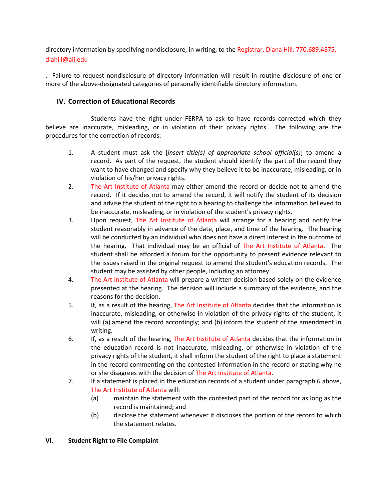directory information by specifying nondisclosure, in writing, to the Registrar, Diana Hill, 770.689.4875, diahill@aii.edu

. Failure to request nondisclosure of directory information will result in routine disclosure of one or more of the above-designated categories of personally identifiable directory information.

## **IV. Correction of Educational Records**

Students have the right under FERPA to ask to have records corrected which they believe are inaccurate, misleading, or in violation of their privacy rights. The following are the procedures for the correction of records:

- 1. A student must ask the [*insert title(s) of appropriate school official(s)*] to amend a record. As part of the request, the student should identify the part of the record they want to have changed and specify why they believe it to be inaccurate, misleading, or in violation of his/her privacy rights.
- 2. The Art Institute of Atlanta may either amend the record or decide not to amend the record. If it decides not to amend the record, it will notify the student of its decision and advise the student of the right to a hearing to challenge the information believed to be inaccurate, misleading, or in violation of the student's privacy rights.
- 3. Upon request, The Art Institute of Atlanta will arrange for a hearing and notify the student reasonably in advance of the date, place, and time of the hearing. The hearing will be conducted by an individual who does not have a direct interest in the outcome of the hearing. That individual may be an official of The Art Institute of Atlanta. The student shall be afforded a forum for the opportunity to present evidence relevant to the issues raised in the original request to amend the student's education records. The student may be assisted by other people, including an attorney.
- 4. The Art Institute of Atlanta will prepare a written decision based solely on the evidence presented at the hearing. The decision will include a summary of the evidence, and the reasons for the decision.
- 5. If, as a result of the hearing, The Art Institute of Atlanta decides that the information is inaccurate, misleading, or otherwise in violation of the privacy rights of the student, it will (a) amend the record accordingly; and (b) inform the student of the amendment in writing.
- 6. If, as a result of the hearing, The Art Institute of Atlanta decides that the information in the education record is not inaccurate, misleading, or otherwise in violation of the privacy rights of the student, it shall inform the student of the right to place a statement in the record commenting on the contested information in the record or stating why he or she disagrees with the decision of The Art Institute of Atlanta.
- 7. If a statement is placed in the education records of a student under paragraph 6 above, The Art Institute of Atlanta will:
	- (a) maintain the statement with the contested part of the record for as long as the record is maintained; and
	- (b) disclose the statement whenever it discloses the portion of the record to which the statement relates.

## **VI. Student Right to File Complaint**